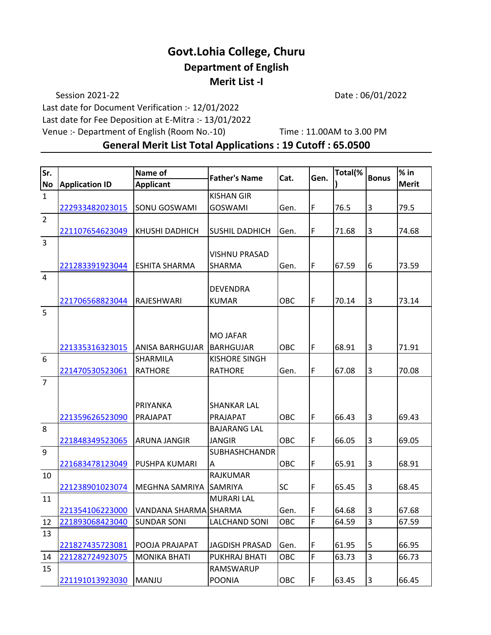## **Govt.Lohia College, Churu Department of English Merit List -I**

Session 2021-22 Date: 06/01/2022

Last date for Document Verification :- 12/01/2022

Last date for Fee Deposition at E-Mitra :- 13/01/2022

Venue :- Department of English (Room No.-10) Time : 11.00AM to 3.00 PM

**General Merit List Total Applications : 19 Cutoff : 65.0500**

| Sr.            |                       | <b>Name of</b>         |                       |            |             | Total(% |                | $%$ in       |
|----------------|-----------------------|------------------------|-----------------------|------------|-------------|---------|----------------|--------------|
| <b>No</b>      | <b>Application ID</b> | <b>Applicant</b>       | <b>Father's Name</b>  | Cat.       | Gen.        |         | <b>Bonus</b>   | <b>Merit</b> |
| $\mathbf{1}$   |                       |                        | <b>KISHAN GIR</b>     |            |             |         |                |              |
|                | 222933482023015       | <b>SONU GOSWAMI</b>    | <b>GOSWAMI</b>        | Gen.       | F           | 76.5    | 3              | 79.5         |
| $\overline{2}$ |                       |                        |                       |            |             |         |                |              |
|                | 221107654623049       | KHUSHI DADHICH         | <b>SUSHIL DADHICH</b> | Gen.       | F           | 71.68   | 3              | 74.68        |
| $\overline{3}$ |                       |                        |                       |            |             |         |                |              |
|                |                       |                        | <b>VISHNU PRASAD</b>  |            |             |         |                |              |
|                | 221283391923044       | <b>ESHITA SHARMA</b>   | <b>SHARMA</b>         | Gen.       | $\mathsf F$ | 67.59   | 6              | 73.59        |
| $\overline{4}$ |                       |                        |                       |            |             |         |                |              |
|                |                       |                        | <b>DEVENDRA</b>       |            |             |         |                |              |
|                | 221706568823044       | RAJESHWARI             | <b>KUMAR</b>          | <b>OBC</b> | F           | 70.14   | 3              | 73.14        |
| 5              |                       |                        |                       |            |             |         |                |              |
|                |                       |                        |                       |            |             |         |                |              |
|                |                       |                        | <b>MO JAFAR</b>       |            |             |         |                |              |
|                | 221335316323015       | <b>ANISA BARHGUJAR</b> | <b>BARHGUJAR</b>      | OBC        | F           | 68.91   | $\overline{3}$ | 71.91        |
| 6              |                       | <b>SHARMILA</b>        | <b>KISHORE SINGH</b>  |            |             |         |                |              |
|                | 221470530523061       | <b>RATHORE</b>         | <b>RATHORE</b>        | Gen.       | F           | 67.08   | $\overline{3}$ | 70.08        |
| $\overline{7}$ |                       |                        |                       |            |             |         |                |              |
|                |                       |                        |                       |            |             |         |                |              |
|                |                       | PRIYANKA               | <b>SHANKAR LAL</b>    |            |             |         |                |              |
|                | 221359626523090       | PRAJAPAT               | PRAJAPAT              | OBC        | F           | 66.43   | $\overline{3}$ | 69.43        |
| 8              |                       |                        | <b>BAJARANG LAL</b>   |            |             |         |                |              |
|                | 221848349523065       | <b>ARUNA JANGIR</b>    | <b>JANGIR</b>         | OBC        | F           | 66.05   | 3              | 69.05        |
| 9              |                       |                        | <b>SUBHASHCHANDR</b>  |            |             |         |                |              |
|                | 221683478123049       | <b>PUSHPA KUMARI</b>   | Α                     | OBC        | $\mathsf F$ | 65.91   | 3              | 68.91        |
| 10             |                       |                        | <b>RAJKUMAR</b>       |            |             |         |                |              |
|                | 221238901023074       | MEGHNA SAMRIYA         | <b>SAMRIYA</b>        | SC         | F           | 65.45   | 3              | 68.45        |
| 11             |                       |                        | <b>MURARI LAL</b>     |            |             |         |                |              |
|                | 221354106223000       | VANDANA SHARMA SHARMA  |                       | Gen.       | F           | 64.68   | 3              | 67.68        |
| 12             | 221893068423040       | <b>SUNDAR SONI</b>     | <b>LALCHAND SONI</b>  | OBC        | F           | 64.59   | $\overline{3}$ | 67.59        |
| 13             |                       |                        |                       |            |             |         |                |              |
|                | 221827435723081       | POOJA PRAJAPAT         | JAGDISH PRASAD        | Gen.       | $\mathsf F$ | 61.95   | 5              | 66.95        |
| 14             | 221282724923075       | <b>MONIKA BHATI</b>    | PUKHRAJ BHATI         | OBC        | F           | 63.73   | $\overline{3}$ | 66.73        |
| 15             |                       |                        | RAMSWARUP             |            |             |         |                |              |
|                | 221191013923030       | MANJU                  | <b>POONIA</b>         | OBC        | $\mathsf F$ | 63.45   | 3              | 66.45        |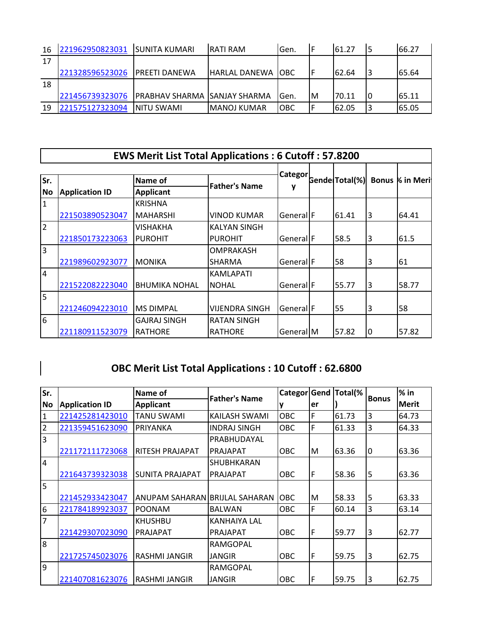| 16 | 221962950823031 | <b>SUNITA KUMARI</b>                 | IRATI RAM           | Gen.       |    | 161.27 | 66.27  |
|----|-----------------|--------------------------------------|---------------------|------------|----|--------|--------|
| 17 |                 |                                      |                     |            |    |        |        |
|    | 221328596523026 | <b>IPREETI DANEWA</b>                | IHARLAL DANEWA TOBC |            |    | 62.64  | 65.64  |
| 18 |                 |                                      |                     |            |    |        |        |
|    | 221456739323076 | <b>PRABHAV SHARMA ISANJAY SHARMA</b> |                     | Gen.       | ΙM | 70.11  | 165.11 |
| 19 | 221575127323094 | INITU SWAMI                          | lMANOJ KUMAR        | <b>OBC</b> | F  | 162.05 | 165.05 |

|                | <b>EWS Merit List Total Applications: 6 Cutoff: 57.8200</b> |                      |                      |                      |  |                       |                        |       |  |  |
|----------------|-------------------------------------------------------------|----------------------|----------------------|----------------------|--|-----------------------|------------------------|-------|--|--|
| Sr.            |                                                             | Name of              |                      | Categor              |  | <b>Gende Total(%)</b> | <b>Bonus % in Meri</b> |       |  |  |
| lNo.           | <b>Application ID</b>                                       | <b>Applicant</b>     | <b>Father's Name</b> |                      |  |                       |                        |       |  |  |
|                |                                                             |                      |                      |                      |  |                       |                        |       |  |  |
| 1              |                                                             | <b>KRISHNA</b>       |                      |                      |  |                       |                        |       |  |  |
|                | 221503890523047                                             | <b>MAHARSHI</b>      | <b>VINOD KUMAR</b>   | General <sup>F</sup> |  | 61.41                 | 3                      | 64.41 |  |  |
| $\overline{2}$ |                                                             | VISHAKHA             | <b>KALYAN SINGH</b>  |                      |  |                       |                        |       |  |  |
|                | 221850173223063                                             | <b>PUROHIT</b>       | <b>PUROHIT</b>       | GenerallF            |  | 58.5                  | 3                      | 61.5  |  |  |
| l3             |                                                             |                      | <b>OMPRAKASH</b>     |                      |  |                       |                        |       |  |  |
|                | 221989602923077                                             | MONIKA               | <b>SHARMA</b>        | General <sup>F</sup> |  | 58                    | 3                      | 61    |  |  |
| 4              |                                                             |                      | <b>KAMLAPATI</b>     |                      |  |                       |                        |       |  |  |
|                | 221522082223040                                             | <b>BHUMIKA NOHAL</b> | <b>NOHAL</b>         | General <sup>F</sup> |  | 55.77                 | 3                      | 58.77 |  |  |
| l5             |                                                             |                      |                      |                      |  |                       |                        |       |  |  |
|                | 221246094223010                                             | <b>MS DIMPAL</b>     | VIJENDRA SINGH       | GenerallF            |  | 55                    | 3                      | 58    |  |  |
| 6              |                                                             | GAJRAJ SINGH         | <b>RATAN SINGH</b>   |                      |  |                       |                        |       |  |  |
|                | 221180911523079                                             | <b>RATHORE</b>       | <b>RATHORE</b>       | General   M          |  | 57.82                 | 10                     | 57.82 |  |  |

# **OBC Merit List Total Applications : 10 Cutoff : 62.6800**

 $\begin{array}{c} \rule{0pt}{2ex} \rule{0pt}{2ex} \rule{0pt}{2ex} \rule{0pt}{2ex} \rule{0pt}{2ex} \rule{0pt}{2ex} \rule{0pt}{2ex} \rule{0pt}{2ex} \rule{0pt}{2ex} \rule{0pt}{2ex} \rule{0pt}{2ex} \rule{0pt}{2ex} \rule{0pt}{2ex} \rule{0pt}{2ex} \rule{0pt}{2ex} \rule{0pt}{2ex} \rule{0pt}{2ex} \rule{0pt}{2ex} \rule{0pt}{2ex} \rule{0pt}{2ex} \rule{0pt}{2ex} \rule{0pt}{2ex} \rule{0pt}{2ex} \rule{0pt}{$ 

| Sr.            |                       | Name of                        | <b>Father's Name</b> | Categor    | Gend        | Total(% | <b>Bonus</b> | $%$ in       |
|----------------|-----------------------|--------------------------------|----------------------|------------|-------------|---------|--------------|--------------|
| <b>No</b>      | <b>Application ID</b> | <b>Applicant</b>               |                      |            | er          |         |              | <b>Merit</b> |
| $\overline{1}$ | 221425281423010       | <b>TANU SWAMI</b>              | KAILASH SWAMI        | OBC        | F           | 61.73   | 3            | 64.73        |
| $\overline{2}$ | 221359451623090       | PRIYANKA                       | <b>INDRAJ SINGH</b>  | <b>OBC</b> | F           | 61.33   | 3            | 64.33        |
| $\overline{3}$ |                       |                                | PRABHUDAYAL          |            |             |         |              |              |
|                | 221172111723068       | <b>RITESH PRAJAPAT</b>         | <b>PRAJAPAT</b>      | ОВС        | M           | 63.36   | I٥           | 63.36        |
| $\overline{4}$ |                       |                                | SHUBHKARAN           |            |             |         |              |              |
|                | 221643739323038       | <b>SUNITA PRAJAPAT</b>         | <b>PRAJAPAT</b>      | OBC        | F           | 58.36   | 5            | 63.36        |
| 5              |                       |                                |                      |            |             |         |              |              |
|                | 221452933423047       | ANUPAM SAHARAN BRIJLAL SAHARAN |                      | <b>OBC</b> | M           | 58.33   | 5            | 63.33        |
| 6              | 221784189923037       | <b>POONAM</b>                  | <b>BALWAN</b>        | <b>OBC</b> | $\mathsf F$ | 60.14   | 3            | 63.14        |
| $\overline{7}$ |                       | <b>KHUSHBU</b>                 | KANHAIYA LAL         |            |             |         |              |              |
|                | 221429307023090       | PRAJAPAT                       | <b>PRAJAPAT</b>      | ОВС        | F           | 59.77   | 3            | 62.77        |
| $\overline{8}$ |                       |                                | RAMGOPAL             |            |             |         |              |              |
|                | 221725745023076       | IRASHMI JANGIR                 | JANGIR               | <b>OBC</b> | F           | 59.75   | 3            | 62.75        |
| 9              |                       |                                | <b>RAMGOPAL</b>      |            |             |         |              |              |
|                | 221407081623076       | <b>IRASHMI JANGIR</b>          | JANGIR               | ОВС        | $\mathsf F$ | 59.75   | 3            | 62.75        |